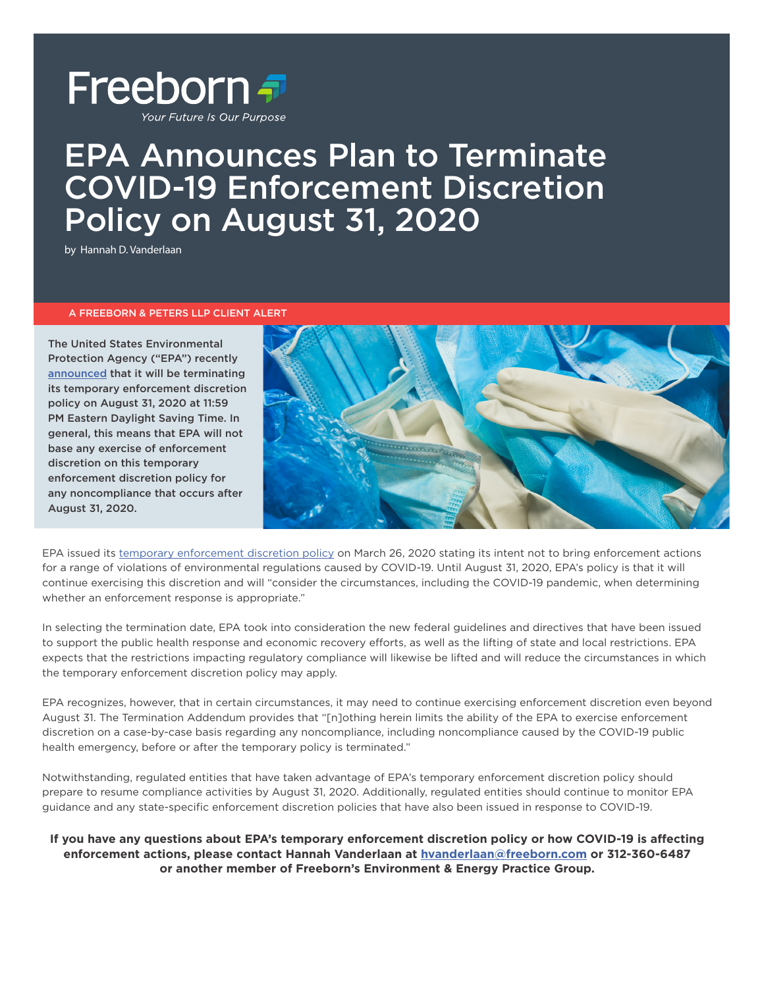

# EPA Announces Plan to Terminate COVID-19 Enforcement Discretion Policy on August 31, 2020

by Hannah D. Vanderlaan

### A FREEBORN & PETERS LLP CLIENT ALERT

The United States Environmental Protection Agency ("EPA") recently [announced](https://www.epa.gov/sites/production/files/2020-06/documents/covid19addendumontermination.pdf) that it will be terminating its temporary enforcement discretion policy on August 31, 2020 at 11:59 PM Eastern Daylight Saving Time. In general, this means that EPA will not base any exercise of enforcement discretion on this temporary enforcement discretion policy for any noncompliance that occurs after August 31, 2020.



EPA issued its [temporary enforcement discretion policy](https://www.epa.gov/sites/production/files/2020-03/documents/oecamemooncovid19implications.pdf) on March 26, 2020 stating its intent not to bring enforcement actions for a range of violations of environmental regulations caused by COVID-19. Until August 31, 2020, EPA's policy is that it will continue exercising this discretion and will "consider the circumstances, including the COVID-19 pandemic, when determining whether an enforcement response is appropriate."

In selecting the termination date, EPA took into consideration the new federal guidelines and directives that have been issued to support the public health response and economic recovery efforts, as well as the lifting of state and local restrictions. EPA expects that the restrictions impacting regulatory compliance will likewise be lifted and will reduce the circumstances in which the temporary enforcement discretion policy may apply.

EPA recognizes, however, that in certain circumstances, it may need to continue exercising enforcement discretion even beyond August 31. The Termination Addendum provides that "[n]othing herein limits the ability of the EPA to exercise enforcement discretion on a case-by-case basis regarding any noncompliance, including noncompliance caused by the COVID-19 public health emergency, before or after the temporary policy is terminated."

Notwithstanding, regulated entities that have taken advantage of EPA's temporary enforcement discretion policy should prepare to resume compliance activities by August 31, 2020. Additionally, regulated entities should continue to monitor EPA guidance and any state-specific enforcement discretion policies that have also been issued in response to COVID-19.

**If you have any questions about EPA's temporary enforcement discretion policy or how COVID-19 is affecting enforcement actions, please contact Hannah Vanderlaan at [hvanderlaan@freeborn.com](mailto:hvanderlaan%40freeborn.com?subject=) or 312-360-6487 or another member of Freeborn's Environment & Energy Practice Group.**